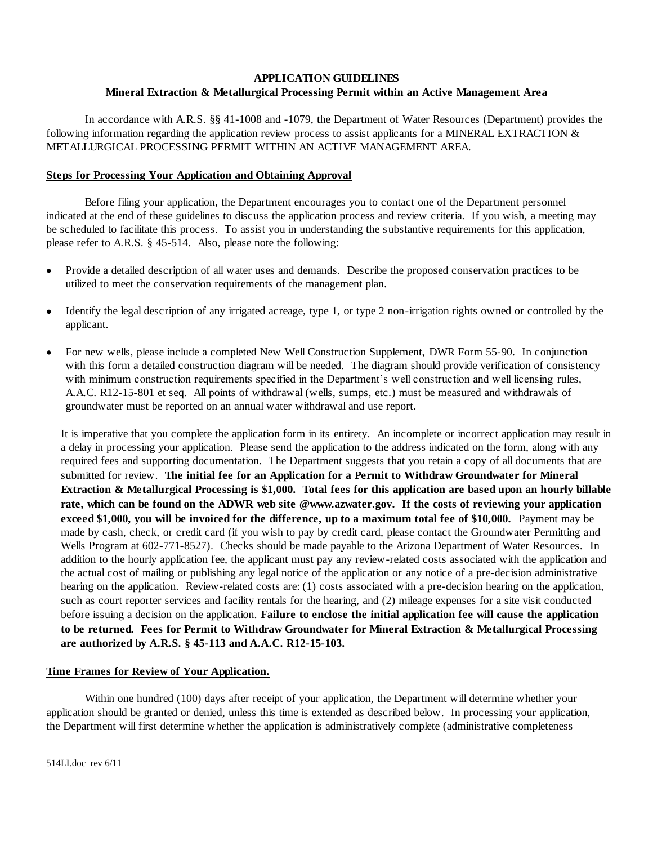### **APPLICATION GUIDELINES**

# **Mineral Extraction & Metallurgical Processing Permit within an Active Management Area**

In accordance with A.R.S. §§ 41-1008 and -1079, the Department of Water Resources (Department) provides the following information regarding the application review process to assist applicants for a MINERAL EXTRACTION  $\&$ METALLURGICAL PROCESSING PERMIT WITHIN AN ACTIVE MANAGEMENT AREA.

#### **Steps for Processing Your Application and Obtaining Approval**

Before filing your application, the Department encourages you to contact one of the Department personnel indicated at the end of these guidelines to discuss the application process and review criteria. If you wish, a meeting may be scheduled to facilitate this process. To assist you in understanding the substantive requirements for this application, please refer to A.R.S. § 45-514. Also, please note the following:

- Provide a detailed description of all water uses and demands. Describe the proposed conservation practices to be  $\bullet$ utilized to meet the conservation requirements of the management plan.
- Identify the legal description of any irrigated acreage, type 1, or type 2 non-irrigation rights owned or controlled by the  $\bullet$ applicant.
- For new wells, please include a completed New Well Construction Supplement, DWR Form 55-90. In conjunction with this form a detailed construction diagram will be needed. The diagram should provide verification of consistency with minimum construction requirements specified in the Department's well construction and well licensing rules, A.A.C. R12-15-801 et seq. All points of withdrawal (wells, sumps, etc.) must be measured and withdrawals of groundwater must be reported on an annual water withdrawal and use report.

It is imperative that you complete the application form in its entirety. An incomplete or incorrect application may result in a delay in processing your application. Please send the application to the address indicated on the form, along with any required fees and supporting documentation. The Department suggests that you retain a copy of all documents that are submitted for review. **The initial fee for an Application for a Permit to Withdraw Groundwater for Mineral Extraction & Metallurgical Processing is \$1,000. Total fees for this application are based upon an hourly billable rate, which can be found on the ADWR web site @www.azwater.gov. If the costs of reviewing your application exceed \$1,000, you will be invoiced for the difference, up to a maximum total fee of \$10,000.** Payment may be made by cash, check, or credit card (if you wish to pay by credit card, please contact the Groundwater Permitting and Wells Program at 602-771-8527). Checks should be made payable to the Arizona Department of Water Resources. In addition to the hourly application fee, the applicant must pay any review-related costs associated with the application and the actual cost of mailing or publishing any legal notice of the application or any notice of a pre-decision administrative hearing on the application. Review-related costs are: (1) costs associated with a pre-decision hearing on the application, such as court reporter services and facility rentals for the hearing, and (2) mileage expenses for a site visit conducted before issuing a decision on the application. **Failure to enclose the initial application fee will cause the application to be returned. Fees for Permit to Withdraw Groundwater for Mineral Extraction & Metallurgical Processing are authorized by A.R.S. § 45-113 and A.A.C. R12-15-103.**

#### **Time Frames for Review of Your Application.**

Within one hundred (100) days after receipt of your application, the Department will determine whether your application should be granted or denied, unless this time is extended as described below. In processing your application, the Department will first determine whether the application is administratively complete (administrative completeness